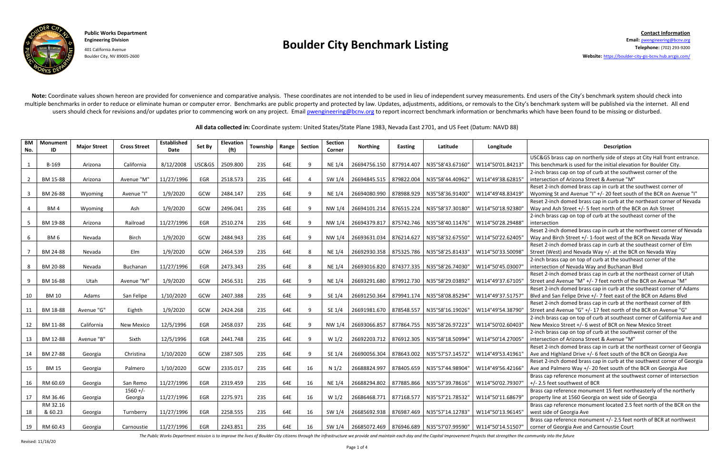

Boulder City, NV 89005-2600 **Website:** <https://boulder-city-gis-bcnv.hub.arcgis.com/>

Note: Coordinate values shown hereon are provided for convenience and comparative analysis. These coordinates are not intended to be used in lieu of independent survey measurements. End users of the City's benchmark system multiple benchmarks in order to reduce or eliminate human or computer error. Benchmarks are public property and protected by law. Updates, adjustments, additions, or removals to the City's benchmark system will be publishe users should check for revisions and/or updates prior to commencing work on any project. Email **[pwengineering@bcnv.org](mailto:pwengineering@bcnv.org)** to report incorrect benchmark information or benchmarks which have been found to be missing or disturb

The Public Works Department mission is to improve the lives of Boulder City citizens through the infrastructure we provide and maintain each day and the Capital Improvement Projects that strengthen the community into the f

**All data collected in:** Coordinate system: United States/State Plane 1983, Nevada East 2701, and US Feet (Datum: NAVD 88)

| <b>BM</b><br>No.        | Monument<br>ID  | <b>Maior Street</b> | <b>Cross Street</b> | <b>Established</b><br>Date | Set By     | <b>Elevation</b><br>(f <sup>t</sup> ) | Township   | Range | <b>Section</b> | <b>Section</b><br>Corner | <b>Northing</b>         | Easting    | Latitude                                     | Longitude         | <b>Description</b>                                                        |
|-------------------------|-----------------|---------------------|---------------------|----------------------------|------------|---------------------------------------|------------|-------|----------------|--------------------------|-------------------------|------------|----------------------------------------------|-------------------|---------------------------------------------------------------------------|
|                         |                 |                     |                     |                            |            |                                       |            |       |                |                          |                         |            |                                              |                   | USC&GS brass cap on northerly side of steps at City Hall front entrance.  |
| 1                       | B-169           | Arizona             | California          | 8/12/2008                  | USC&GS     | 2509.800                              | <b>23S</b> | 64E   | 9              | NE 1/4                   | 26694756.150 877914.407 |            | N35°58'43.67160"                             | W114°50'01.84213" | This benchmark is used for the initial elevation for Boulder City.        |
|                         |                 |                     |                     |                            |            |                                       |            |       |                |                          |                         |            |                                              |                   | 2-inch brass cap on top of curb at the southwest corner of the            |
| $\overline{2}$          | BM 15-88        | Arizona             | Avenue "M"          | 11/27/1996                 | EGR        | 2518.573                              | <b>23S</b> | 64E   | $\overline{4}$ | SW 1/4                   | 26694845.515            | 879822.004 | N35°58'44.40962"                             | W114°49'38.62815' | intersection of Arizona Street & Avenue "M"                               |
|                         |                 |                     |                     |                            |            |                                       |            |       |                |                          |                         |            |                                              |                   | Reset 2-inch domed brass cap in curb at the southwest corner of           |
| $\overline{\mathbf{3}}$ | BM 26-88        | Wyoming             | Avenue "I"          | 1/9/2020                   | GCW        | 2484.147                              | <b>23S</b> | 64E   | 9              | NE 1/4                   | 26694080.990 878988.929 |            | N35°58'36.91400"                             | W114°49'48.83419" | Wyoming St and Avenue "I" +/- 20 feet south of the BCR on Avenue "I"      |
|                         |                 |                     |                     |                            |            |                                       |            |       |                |                          |                         |            |                                              |                   | Reset 2-inch domed brass cap in curb at the northeast corner of Nevada    |
| $\Delta$                | BM4             | Wyoming             | Ash                 | 1/9/2020                   | GCW        | 2496.041                              | <b>23S</b> | 64E   | 9              | NW 1/4                   | 26694101.214 876515.224 |            | N35°58'37.30180"                             | W114°50'18.92380' | Way and Ash Street +/- 5 feet north of the BCR on Ash Street              |
|                         |                 |                     |                     |                            |            |                                       |            |       |                |                          |                         |            |                                              |                   | 2-inch brass cap on top of curb at the southeast corner of the            |
| 5                       | BM 19-88        | Arizona             | Railroad            | 11/27/1996                 | EGR        | 2510.274                              | <b>23S</b> | 64E   | 9              | NW 1/4                   | 26694379.817 875742.746 |            | N35°58'40.11476"                             | W114°50'28.29488" | intersection                                                              |
|                         |                 |                     |                     |                            |            |                                       |            |       |                |                          |                         |            |                                              |                   | Reset 2-inch domed brass cap in curb at the northwest corner of Nevada    |
| 6                       | BM <sub>6</sub> | Nevada              | Birch               | 1/9/2020                   | GCW        | 2484.943                              | <b>23S</b> | 64E   | 9              | NW 1/4                   | 26693631.034 876214.627 |            | N35°58'32.67550"                             | W114°50'22.62405" | Way and Birch Street +/- 1-foot west of the BCR on Nevada Way             |
|                         |                 |                     |                     |                            |            |                                       |            |       |                |                          |                         |            |                                              |                   | Reset 2-inch domed brass cap in curb at the southeast corner of Elm       |
| $\overline{7}$          | BM 24-88        | Nevada              | Elm                 | 1/9/2020                   | GCW        | 2464.539                              | <b>23S</b> | 64E   | 8              | NE 1/4                   | 26692930.358 875325.786 |            | N35°58'25.81433"                             | W114°50'33.50098' | Street (West) and Nevada Way +/- at the BCR on Nevada Way                 |
|                         |                 |                     |                     |                            |            |                                       |            |       |                |                          |                         |            |                                              |                   | 2-inch brass cap on top of curb at the southeast corner of the            |
| -8                      | BM 20-88        | Nevada              | Buchanan            | 11/27/1996                 | EGR        | 2473.343                              | <b>23S</b> | 64E   | 8              | NE 1/4                   | 26693016.820 874377.335 |            | N35°58'26.74030"                             | W114°50'45.03007  | intersection of Nevada Way and Buchanan Blvd                              |
|                         |                 |                     |                     |                            |            |                                       |            |       |                |                          |                         |            |                                              |                   | Reset 2-inch domed brass cap in curb at the northeast corner of Utah      |
| 9                       | BM 16-88        | Utah                | Avenue "M"          | 1/9/2020                   | GCW        | 2456.531                              | <b>23S</b> | 64E   | 9              | NE 1/4                   | 26693291.680 879912.730 |            | N35°58'29.03892"                             | W114°49'37.67105" | Street and Avenue "M" +/- 7 feet north of the BCR on Avenue "M"           |
|                         |                 |                     |                     |                            |            |                                       |            |       |                |                          |                         |            |                                              |                   | Reset 2-inch domed brass cap in curb at the southeast corner of Adams     |
| 10                      | <b>BM 10</b>    | Adams               | San Felipe          | 1/10/2020                  | GCW        | 2407.388                              | <b>23S</b> | 64E   | 9              | SE 1/4                   | 26691250.364 879941.174 |            | N35°58'08.85294"                             | W114°49'37.51757' | Blvd and San Felipe Drive +/- 7 feet east of the BCR on Adams Blvd        |
|                         |                 |                     |                     |                            |            |                                       |            |       |                |                          |                         |            |                                              |                   | Reset 2-inch domed brass cap in curb at the northeast corner of 8th       |
| 11                      | BM 18-88        | Avenue "G"          | Eighth              | 1/9/2020                   | GCW        | 2424.268                              | <b>23S</b> | 64E   | 9              | SE 1/4                   | 26691981.670 878548.557 |            | N35°58'16.19026"                             | W114°49'54.38790' | Street and Avenue "G" +/-17 feet north of the BCR on Avenue "G"           |
|                         |                 |                     |                     |                            |            |                                       |            |       |                |                          |                         |            |                                              |                   | 2-inch brass cap on top of curb at southeast corner of California Ave and |
| 12                      | BM 11-88        | California          | <b>New Mexico</b>   | 12/5/1996                  | EGR        | 2458.037                              | <b>23S</b> | 64E   | 9              | NW 1/4                   | 26693066.857 877864.755 |            | N35°58'26.97223"                             | W114°50'02.60403' | New Mexico Street +/- 6 west of BCR on New Mexico Street                  |
|                         |                 |                     |                     |                            |            |                                       |            |       |                |                          |                         |            |                                              |                   | 2-inch brass cap on top of curb at the southwest corner of the            |
| 13                      | BM 12-88        | Avenue "B"          | Sixth               | 12/5/1996                  | EGR        | 2441.748                              | <b>23S</b> | 64E   | 9              | W <sub>1/2</sub>         | 26692203.712 876912.305 |            | N35°58'18.50994'                             | W114°50'14.27005' | intersection of Arizona Street & Avenue "M"                               |
|                         |                 |                     |                     |                            |            |                                       |            |       |                |                          |                         |            |                                              |                   | Reset 2-inch domed brass cap in curb at the northeast corner of Georgia   |
| 14                      | BM 27-88        | Georgia             | Christina           | 1/10/2020                  | GCW        | 2387.505                              | <b>23S</b> | 64E   | 9              | SE 1/4                   | 26690056.304 878643.002 |            | N35°57'57.14572"                             | W114°49'53.41961' | Ave and Highland Drive +/- 6 feet south of the BCR on Georgia Ave         |
|                         |                 |                     |                     |                            |            |                                       |            |       |                |                          |                         |            |                                              |                   | Reset 2-inch domed brass cap in curb at the southwest corner of Georgia   |
| 15                      | <b>BM 15</b>    | Georgia             | Palmero             | 1/10/2020                  | GCW        | 2335.017                              | <b>23S</b> | 64E   | 16             | N 1/2                    | 26688824.997 878405.659 |            | N35°57'44.98904"                             | W114°49'56.42166' | Ave and Palmero Way +/- 20 feet south of the BCR on Georgia Ave           |
|                         |                 |                     |                     |                            |            |                                       |            |       |                |                          |                         |            |                                              |                   | Brass cap reference monument at the southwest corner of intersection      |
| 16                      | RM 60.69        | Georgia             | San Remo            | 11/27/1996                 | EGR        | 2319.459                              | <b>23S</b> | 64E   | 16             | NE 1/4                   | 26688294.802 877885.866 |            | N35°57'39.78616"                             | W114°50'02.79307' | +/- 2.5 feet southwest of BCR                                             |
|                         |                 |                     | $1560 +/-$          |                            |            |                                       |            |       |                |                          |                         |            |                                              |                   | Brass cap reference monument 15 feet northeasterly of the northerly       |
| 17                      | RM 36.46        | Georgia             | Georgia             | 11/27/1996                 | EGR        | 2275.971                              | <b>23S</b> | 64E   | 16             | W <sub>1/2</sub>         | 26686468.771 877168.577 |            | N35°57'21.78532"                             | W114°50'11.68679' | property line at 1560 Georgia on west side of Georgia                     |
|                         | RM 32.16        |                     |                     |                            |            |                                       |            |       |                |                          |                         |            |                                              |                   | Brass cap reference monument located 2.5 feet north of the BCR on the     |
| 18                      | & 60.23         | Georgia             | Turnberry           | 11/27/1996                 | <b>EGR</b> | 2258.555                              | <b>23S</b> | 64E   | 16             | SW 1/4                   | 26685692.938 876987.469 |            | N35°57'14.12783"                             | W114°50'13.96145" | west side of Georgia Ave                                                  |
|                         |                 |                     |                     |                            |            |                                       |            |       |                |                          |                         |            |                                              |                   | Brass cap reference monument +/- 2.5 feet north of BCR at northwest       |
| 19                      | RM 60.43        | Georgia             | Carnoustie          | 11/27/1996                 | EGR        | 2243.851                              | <b>23S</b> | 64E   | 16             | SW 1/4                   |                         |            | 26685072.469   876946.689   N35°57'07.99590" | W114°50'14.51507' | corner of Georgia Ave and Carnoustie Court                                |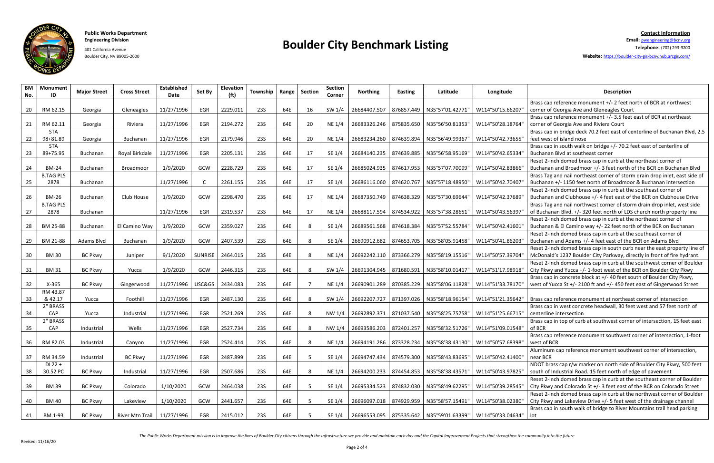## **Public Works Department Contact Information**



### **Engineering Division Boulder City Benchmark Listing Email:** [pwengineering@bcnv.org](mailto:pwengineering@bcnv.org) 401 California Avenue **Telephone:** (702) 293-9200

Boulder City, NV 89005-2600 **Website:** <https://boulder-city-gis-bcnv.hub.arcgis.com/>

The Public Works Department mission is to improve the lives of Boulder City citizens through the infrastructure we provide and maintain each day and the Capital Improvement Projects that strengthen the community into the f

| <b>BM</b><br>No. | <b>Monument</b><br>ID    | <b>Major Street</b> | <b>Cross Street</b> | <b>Established</b><br>Date | Set By         | Elevation<br>(f <sub>t</sub> ) | <b>Township</b> | Range | <b>Section</b> | <b>Section</b><br>Corner | <b>Northing</b>           | <b>Easting</b> | Latitude                                     | Longitude         | Description                                                                                                                                           |
|------------------|--------------------------|---------------------|---------------------|----------------------------|----------------|--------------------------------|-----------------|-------|----------------|--------------------------|---------------------------|----------------|----------------------------------------------|-------------------|-------------------------------------------------------------------------------------------------------------------------------------------------------|
| 20               | RM 62.15                 | Georgia             | Gleneagles          | 11/27/1996                 | EGR            | 2229.011                       | <b>23S</b>      | 64E   | 16             | SW 1/4                   |                           |                | 26684407.507   876857.449   N35°57'01.42771" | W114°50'15.66207  | Brass cap reference monument +/- 2 feet north of BCR at northwest<br>corner of Georgia Ave and Gleneagles Court                                       |
| 21               | RM 62.11                 | Georgia             | Riviera             | 11/27/1996                 | EGR            | 2194.272                       | 235             | 64E   | 20             | NE 1/4                   | 26683326.246 875835.650   |                | N35°56'50.81353"                             | W114°50'28.18764' | Brass cap reference monument +/- 3.5 feet east of BCR at northeast<br>corner of Georgia Ave and Riviera Court                                         |
| 22               | <b>STA</b><br>98+81.89   | Georgia             | Buchanan            | 11/27/1996                 | EGR            | 2179.946                       | 235             | 64E   | 20             | NE 1/4                   |                           |                | 26683234.260   874639.894   N35°56'49.99367" | W114°50'42.73655" | Brass cap in bridge deck 70.2 feet east of centerline of Buchanan Blvd, 2.5<br>feet west of island nose                                               |
| 23               | <b>STA</b><br>89+75.95   | Buchanan            | Royal Birkdale      | 11/27/1996                 | EGR            | 2205.131                       | 235             | 64E   | 17             | SE 1/4                   | 26684140.235 874639.885   |                | N35°56'58.95169"                             | W114°50'42.65334' | Brass cap in south walk on bridge +/- 70.2 feet east of centerline of<br>Buchanan Blvd at southeast corner                                            |
| 24               | <b>BM-24</b>             | Buchanan            | Broadmoor           | 1/9/2020                   | GCW            | 2228.729                       | 235             | 64E   | 17             | SE 1/4                   | 26685024.935 874617.953   |                | N35°57'07.70099'                             | W114°50'42.83866' | Reset 2-inch domed brass cap in curb at the northeast corner of<br>Buchanan and Broadmoor +/- 3 feet north of the BCR on Buchanan Blvd                |
| 25               | <b>B.TAG PLS</b><br>2878 | Buchanan            |                     | 11/27/1996                 |                | 2261.155                       | 235             | 64E   | 17             | SE 1/4                   | 26686116.060 874620.767   |                | N35°57'18.48950'                             | W114°50'42.70407' | Brass Tag and nail northeast corner of storm drain drop inlet, east side of<br>Buchanan +/- 1150 feet north of Broadmoor & Buchanan intersection      |
| 26               | <b>BM-26</b>             | Buchanan            | Club House          | 1/9/2020                   | GCW            | 2298.470                       | 235             | 64E   | 17             | <b>NE 1/4</b>            | 26687350.749 874638.329   |                | N35°57'30.69644"                             | W114°50'42.37689' | Reset 2-inch domed brass cap in curb at the southeast corner of<br>Buchanan and Clubhouse +/- 4 feet east of the BCR on Clubhouse Drive               |
| 27               | <b>B.TAG PLS</b><br>2878 | Buchanan            |                     | 11/27/1996                 | EGR            | 2319.537                       | 235             | 64E   | 17             | <b>NE 1/4</b>            | 26688117.594              | 874534.922     | N35°57'38.28651'                             | W114°50'43.56397  | Brass Tag and nail northwest corner of storm drain drop inlet, west side<br>of Buchanan Blvd. +/- 320 feet north of LDS church north property line    |
| 28               | BM 25-88                 | Buchanan            | El Camino Way       | 1/9/2020                   | GCW            | 2359.027                       | 235             | 64E   | -8             | SE 1/4                   | 26689561.568              | 874618.384     | N35°57'52.55784"                             | W114°50'42.41601' | Reset 2-inch domed brass cap in curb at the northeast corner of<br>Buchanan & El Camino way +/- 22 feet north of the BCR on Buchanan                  |
| 29               | BM 21-88                 | Adams Blvd          | Buchanan            | 1/9/2020                   | GCW            | 2407.539                       | 235             | 64E   | 8              | SE 1/4                   | 26690912.682              |                |                                              | W114°50'41.86203' | Reset 2-inch domed brass cap in curb at the southeast corner of<br>Buchanan and Adams +/- 4 feet east of the BCR on Adams Blvd                        |
| 30 <sup>°</sup>  | <b>BM30</b>              | <b>BC Pkwy</b>      | Juniper             | 9/1/2020                   | <b>SUNRISE</b> | 2464.015                       | <b>23S</b>      | 64E   | 8              | <b>NE 1/4</b>            |                           |                | 26692242.110   873366.279   N35°58'19.15516" | W114°50'57.39704" | Reset 2-inch domed brass cap in south curb near the east property line of<br>McDonald's 1237 Boulder City Parkway, directly in front of fire hydrant. |
| 31               | <b>BM31</b>              | <b>BC Pkwy</b>      | Yucca               | 1/9/2020                   | GCW            | 2446.315                       | 235             | 64E   | 8              | SW 1/4                   | 26691304.945   871680.591 |                | N35°58'10.01417"                             | W114°51'17.98918" | Reset 2-inch domed brass cap in curb at the southwest corner of Boulder<br>City Pkwy and Yucca +/- 1-foot west of the BCR on Boulder City Pkwy        |
| 32               | $X-365$                  | <b>BC Pkwy</b>      | Gingerwood          | 11/27/1996                 |                | USC&GS   2434.083              | <b>23S</b>      | 64E   | $\overline{7}$ | NE 1/4                   |                           |                | 26690901.289   870385.229   N35°58'06.11828" | W114°51'33.78170" | Brass cap in concrete block at +/- 40 feet south of Boulder City Pkwy,<br>west of Yucca St +/- 2100 ft and +/- 450 feet east of Gingerwood Street     |
| 33               | RM 43.87<br>& 42.17      | Yucca               | Foothill            | 11/27/1996                 | EGR            | 2487.130                       | 235             | 64E   | -8             | SW 1/4                   |                           |                | 26692207.727   871397.026   N35°58'18.96154" | W114°51'21.35642" | Brass cap reference monument at northeast corner of intersection                                                                                      |
| 34               | 2" BRASS<br>CAP          | Yucca               | Industrial          | 11/27/1996                 | EGR            | 2521.269                       | 235             | 64E   | -8             | NW 1/4                   |                           |                | 26692892.371   871037.540   N35°58'25.75758" | W114°51'25.66715" | Brass cap in west concrete headwall, 30 feet west and 57 feet north of<br>centerline intersection                                                     |
| 35               | 2" BRASS<br>CAP          | Industrial          | Wells               | 11/27/1996                 | EGR            | 2527.734                       | 235             | 64E   | 8              | NW 1/4                   | 26693586.203              | 872401.257     | N35°58'32.51726"                             | W114°51'09.01548" | Brass cap in top of curb at southwest corner of intersection, 15 feet east<br>of BCR                                                                  |
| 36               | RM 82.03                 | Industrial          | Canyon              | 11/27/1996                 | EGR            | 2524.414                       | 235             | 64E   | -8             | NE 1/4                   |                           |                | 26694191.286   873328.234   N35°58'38.43130" | W114°50'57.68398" | Brass cap reference monument southwest corner of intersection, 1-foot<br>west of BCR                                                                  |
| 37               | RM 34.59                 | Industrial          | <b>BC Pkwy</b>      | 11/27/1996                 | EGR            | 2487.899                       | <b>23S</b>      | 64E   | -5             | SE 1/4                   |                           |                | 26694747.434   874579.300   N35°58'43.83695" | W114°50'42.41400" | Aluminum cap reference monument southwest corner of intersection,<br>near BCR                                                                         |
| 38               | $DI$ 22 +<br>30.52 PC    | <b>BC Pkwy</b>      | Industrial          | 11/27/1996                 | EGR            | 2507.686                       | <b>23S</b>      | 64E   | 8              | NE 1/4                   |                           |                | 26694200.233   874454.853   N35°58'38.43571" | W114°50'43.97825" | NDOT brass cap r/w marker on north side of Boulder City Pkwy, 500 feet<br>south of Industrial Road. 15 feet north of edge of pavement                 |
| 39               | <b>BM39</b>              | <b>BC Pkwy</b>      | Colorado            | 1/10/2020                  | GCW            | 2464.038                       | <b>23S</b>      | 64E   | - 5            | SE 1/4                   |                           |                | 26695334.523   874832.030   N35°58'49.62295" | W114°50'39.28545" | Reset 2-inch domed brass cap in curb at the southeast corner of Boulder<br>City Pkwy and Colorado St +/- 3 feet east of the BCR on Colorado Street    |
| 40               | <b>BM 40</b>             | <b>BC Pkwy</b>      | Lakeview            | 1/10/2020                  | GCW            | 2441.657                       | <b>23S</b>      | 64E   | - 5            | SE 1/4                   |                           |                | 26696097.018   874929.959   N35°58'57.15491" | W114°50'38.02380" | Reset 2-inch domed brass cap in curb at the northwest corner of Boulder<br>City Pkwy and Lakeview Drive +/- 5 feet west of the drainage channel       |
| 41               | BM 1-93                  | <b>BC Pkwy</b>      | River Mtn Trail     | 11/27/1996                 | EGR            | 2415.012                       | <b>23S</b>      | 64E   | -5             | SE 1/4                   |                           |                | 26696553.095   875335.642   N35°59'01.63399" | W114°50'33.04634" | Brass cap in south walk of bridge to River Mountains trail head parking<br>lot                                                                        |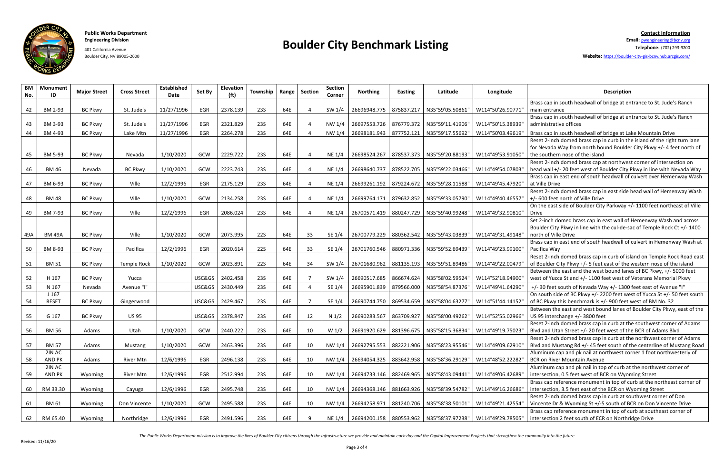### **Public Works Department Contact Information**



### **Engineering Division Boulder City Benchmark Listing Email:** [pwengineering@bcnv.org](mailto:pwengineering@bcnv.org) 401 California Avenue **Telephone:** (702) 293-9200

Boulder City, NV 89005-2600 **Website:** <https://boulder-city-gis-bcnv.hub.arcgis.com/>

| <b>BM</b><br>No. | <b>Monument</b><br>ID            | <b>Major Street</b> | <b>Cross Street</b> | <b>Established</b><br>Date | Set By | <b>Elevation</b><br>(f <sup>t</sup> ) | Township   Range   Section |     |     | Section<br>Corner | <b>Northing</b>           | <b>Easting</b> | Latitude                                     | Longitude                                                               | <b>Description</b>                                                                                                                                                                    |
|------------------|----------------------------------|---------------------|---------------------|----------------------------|--------|---------------------------------------|----------------------------|-----|-----|-------------------|---------------------------|----------------|----------------------------------------------|-------------------------------------------------------------------------|---------------------------------------------------------------------------------------------------------------------------------------------------------------------------------------|
| 42               | BM 2-93                          | <b>BC Pkwy</b>      | St. Jude's          | 11/27/1996                 | EGR    | 2378.139                              | <b>23S</b>                 | 64E |     | SW 1/4            |                           |                | 26696948.775   875837.217   N35°59'05.50861" | W114°50'26.90771'                                                       | Brass cap in south headwall of bridge at entrance to St. Jude's Ranch<br>main entrance                                                                                                |
| 43               | BM 3-93                          | <b>BC Pkwy</b>      | St. Jude's          | 11/27/1996                 | EGR    | 2321.829                              | <b>23S</b>                 | 64E |     | NW 1/4            |                           |                | 26697553.726   876779.372   N35°59'11.41906" | W114°50'15.38939"                                                       | Brass cap in south headwall of bridge at entrance to St. Jude's Ranch<br>administrative offices                                                                                       |
| 44               | BM 4-93                          | <b>BC Pkwy</b>      | Lake Mtn            | 11/27/1996                 | EGR    | 2264.278                              | 235                        | 64E |     | NW 1/4            | 26698181.943              | 877752.121     | N35°59'17.55692"                             | W114°50'03.49619"                                                       | Brass cap in south headwall of bridge at Lake Mountain Drive                                                                                                                          |
| 45               | BM 5-93                          | <b>BC Pkwy</b>      | Nevada              | 1/10/2020                  | GCW    | 2229.722                              | <b>23S</b>                 | 64E |     | <b>NE 1/4</b>     |                           |                | 26698524.267   878537.373   N35°59'20.88193" | W114°49'53.91050"                                                       | Reset 2-inch domed brass cap in curb in the island of the right turn lane<br>for Nevada Way from north bound Boulder City Pkwy +/- 4 feet north of<br>the southern nose of the island |
| 46               | <b>BM 46</b>                     | Nevada              | <b>BC Pkwy</b>      | 1/10/2020                  | GCW    | 2223.743                              | <b>23S</b>                 | 64E |     | <b>NE 1/4</b>     | 26698640.737 878522.705   |                | N35°59'22.03466"                             | W114°49'54.07803                                                        | Reset 2-inch domed brass cap at northwest corner of intersection on<br>head wall +/- 20 feet west of Boulder City Pkwy in line with Nevada Way                                        |
| 47               | BM 6-93                          | <b>BC Pkwy</b>      | Ville               | 12/2/1996                  | EGR    | 2175.129                              | <b>23S</b>                 | 64E |     | <b>NE 1/4</b>     |                           |                | 26699261.192   879224.672   N35°59'28.11588" | W114°49'45.47920"                                                       | Brass cap in east end of south headwall of culvert over Hemenway Wash<br>at Ville Drive                                                                                               |
| 48               | <b>BM48</b>                      | <b>BC Pkwy</b>      | Ville               | 1/10/2020                  | GCW    | 2134.258                              | <b>23S</b>                 | 64E |     | <b>NE 1/4</b>     | 26699764.171   879632.852 |                | N35°59'33.05790"                             | W114°49'40.46557"                                                       | Reset 2-inch domed brass cap in east side head wall of Hemenway Wash<br>+/- 600 feet north of Ville Drive                                                                             |
| 49               | BM 7-93                          | <b>BC Pkwy</b>      | Ville               | 12/2/1996                  | EGR    | 2086.024                              | <b>23S</b>                 | 64E |     | <b>NE 1/4</b>     | 26700571.419              | 880247.729     | N35°59'40.99248"                             | W114°49'32.90810"                                                       | On the east side of Boulder City Parkway +/- 1100 feet northeast of Ville<br>Drive                                                                                                    |
| 49A              | <b>BM 49A</b>                    | <b>BC Pkwy</b>      | Ville               | 1/10/2020                  | GCW    | 2073.995                              | <b>22S</b>                 | 64E | 33  | SE 1/4            |                           |                | 26700779.229 880362.542 N35°59'43.03839"     | W114°49'31.49148"                                                       | Set 2-inch domed brass cap in east wall of Hemenway Wash and across<br>Boulder City Pkwy in line with the cul-de-sac of Temple Rock Ct +/- 1400<br>north of Ville Drive               |
| 50               | BM 8-93                          | <b>BC Pkwy</b>      | Pacifica            | 12/2/1996                  | EGR    | 2020.614                              | <b>22S</b>                 | 64E | 33  | SE 1/4            |                           |                | 26701760.546   880971.336   N35°59'52.69439' | W114°49'23.99100"                                                       | Brass cap in east end of south headwall of culvert in Hemenway Wash at<br>Pacifica Way                                                                                                |
| 51               | <b>BM 51</b>                     | <b>BC Pkwy</b>      | <b>Temple Rock</b>  | 1/10/2020                  | GCW    | 2023.891                              | <b>22S</b>                 | 64E | 34  | SW $1/4$          |                           |                | 26701680.962   881135.193   N35°59'51.89486" | W114°49'22.00479"                                                       | Reset 2-inch domed brass cap in curb of island on Temple Rock Road east<br>of Boulder City Pkwy +/- 5 feet east of the western nose of the island                                     |
| 52               | H 167                            | <b>BC Pkwy</b>      | Yucca               |                            | USC&GS | 2402.458                              | 235                        | 64E |     | SW 1/4            | 26690517.685              | 866674.624     | N35°58'02.59524"                             | W114°52'18.94900'                                                       | Between the east and the west bound lanes of BC Pkwy, +/- 5000 feet<br>west of Yucca St and +/- 1100 feet west of Veterans Memorial Pkwy                                              |
| 53               | N 167                            | Nevada              | Avenue "I"          |                            | USC&GS | 2430.449                              | 235                        | 64E |     | SE 1/4            | 26695901.839              | 879566.000     | N35°58'54.87376"                             | W114°49'41.64290"                                                       | +/- 30 feet south of Nevada Way +/- 1300 feet east of Avenue "I"                                                                                                                      |
| 54               | J <sub>167</sub><br><b>RESET</b> | <b>BC Pkwy</b>      | Gingerwood          |                            | USC&GS | 2429.467                              | <b>23S</b>                 | 64E | - 7 | SE 1/4            | 26690744.750 869534.659   |                | N35°58'04.63277'                             | W114°51'44.14152'                                                       | On south side of BC Pkwy +/- 2200 feet west of Yucca St +/- 50 feet south<br>of BC Pkwy this benchmark is +/- 900 feet west of BM No. 32                                              |
| 55               | G 167                            | <b>BC Pkwy</b>      | <b>US 95</b>        |                            | USC&GS | 2378.847                              | <b>23S</b>                 | 64E | 12  | N $1/2$           | 26690283.567              | 863709.927     | N35°58'00.49262"                             | W114°52'55.02966"                                                       | Between the east and west bound lanes of Boulder City Pkwy, east of the<br>US 95 interchange +/- 3800 feet                                                                            |
| 56               | <b>BM 56</b>                     | Adams               | Utah                | 1/10/2020                  | GCW    | 2440.222                              | <b>23S</b>                 | 64E | 10  | W <sub>1/2</sub>  | 26691920.629 881396.675   |                | N35°58'15.36834'                             | W114°49'19.75023'                                                       | Reset 2-inch domed brass cap in curb at the southwest corner of Adams<br>Blvd and Utah Street +/- 20 feet west of the BCR of Adams Blvd                                               |
| 57               | <b>BM 57</b>                     | Adams               | Mustang             | 1/10/2020                  | GCW    | 2463.396                              | 23S                        | 64E | 10  |                   |                           |                |                                              | NW 1/4 26692795.553   882221.906   N35°58'23.95546"   W114°49'09.62910" | Reset 2-inch domed brass cap in curb at the northwest corner of Adams<br>Blvd and Mustang Rd +/-45 feet south of the centerline of Mustang Road                                       |
| 58               | 2IN AC<br>AND PK                 | Adams               | <b>River Mtn</b>    | 12/6/1996                  | EGR    | 2496.138                              | <b>23S</b>                 | 64E | 10  | NW 1/4            |                           |                | 26694054.325   883642.958   N35°58'36.29129" | W114°48'52.22282"                                                       | Aluminum cap and pk nail at northwest corner 1 foot northwesterly of<br><b>BCR on River Mountain Avenue</b>                                                                           |
| 59               | 2IN AC<br><b>AND PK</b>          | Wyoming             | <b>River Mtn</b>    | 12/6/1996                  | EGR    | 2512.994                              | <b>23S</b>                 | 64E | 10  | NW 1/4            | 26694733.146 882469.965   |                | N35°58'43.09441"                             | W114°49'06.42689'                                                       | Aluminum cap and pk nail in top of curb at the northwest corner of<br>intersection, 0.5 feet west of BCR on Wyoming Street                                                            |
| 60               | RM 33.30                         | Wyoming             | Cayuga              | 12/6/1996                  | EGR    | 2495.748                              | <b>23S</b>                 | 64E | 10  | NW 1/4            |                           |                | 26694368.146   881663.926   N35°58'39.54782" | W114°49'16.26686"                                                       | Brass cap reference monument in top of curb at the northeast corner of<br>intersection, 3.5 feet east of the BCR on Wyoming Street                                                    |
| 61               | BM 61                            | Wyoming             | Don Vincente        | 1/10/2020                  | GCW    | 2495.588                              | <b>23S</b>                 | 64E | 10  | NW 1/4            |                           |                | 26694258.971 881240.706 N35°58'38.50101"     | W114°49'21.42554"                                                       | Reset 2-inch domed brass cap in curb at southwest corner of Don<br>Vincente Dr & Wyoming St +/-5 south of BCR on Don Vincente Drive                                                   |
| 62               | RM 65.40                         | Wyoming             | Northridge          | 12/6/1996                  | EGR    | 2491.596                              | <b>23S</b>                 | 64E | - q | NE 1/4            |                           |                | 26694200.158   880553.962   N35°58'37.97238" | W114°49'29.78505"                                                       | Brass cap reference monument in top of curb at southeast corner of<br>intersection 2 feet south of ECR on Northridge Drive                                                            |

The Public Works Department mission is to improve the lives of Boulder City citizens through the infrastructure we provide and maintain each day and the Capital Improvement Projects that strengthen the community into the f